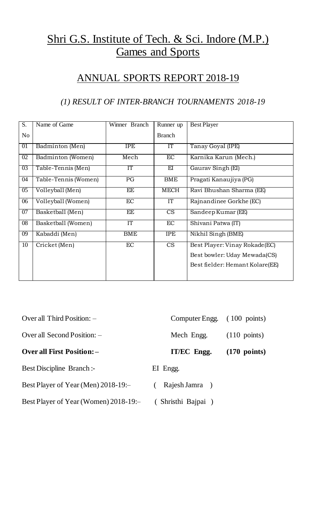# Shri G.S. Institute of Tech. & Sci. Indore (M.P.) Games and Sports

# ANNUAL SPORTS REPORT 2018-19

### *(1) RESULT OF INTER-BRANCH TOURNAMENTS 2018-19*

| S.              | Name of Game         | Winner Branch | Runner up              | <b>Best Player</b>              |
|-----------------|----------------------|---------------|------------------------|---------------------------------|
| N <sub>o</sub>  |                      |               | <b>Branch</b>          |                                 |
| 01              | Badminton (Men)      | <b>IPE</b>    | IT                     | Tanay Goyal (IPE)               |
| $\overline{02}$ | Badminton (Women)    | Mech          | $\overline{EC}$        | Karnika Karun (Mech.)           |
| 0 <sub>3</sub>  | Table-Tennis (Men)   | IT            | EI                     | Gauray Singh (EI)               |
| 04              | Table-Tennis (Women) | PG            | <b>BME</b>             | Pragati Kanaujiya (PG)          |
| 05              | Volleyball (Men)     | EE            | <b>MECH</b>            | Ravi Bhushan Sharma (EE)        |
| 06              | Volleyball (Women)   | EC            | IT                     | Rajnandinee Gorkhe (EC)         |
| 07              | Basketball (Men)     | EE            | CS                     | Sandeep Kumar (EE)              |
| 08              | Basketball (Women)   | IT            | EC                     | Shivani Patwa (IT)              |
| 09              | Kabaddi (Men)        | <b>BME</b>    | <b>IPE</b>             | Nikhil Singh (BME)              |
| 10              | Cricket (Men)        | EC            | $\overline{\text{CS}}$ | Best Player: Vinay Rokade(EC)   |
|                 |                      |               |                        | Best bowler: Uday Mewada(CS)    |
|                 |                      |               |                        | Best fielder: Hemant Kolare(EE) |
|                 |                      |               |                        |                                 |

| Over all Third Position: $-$          | Computer Engg. (100 points) |                        |
|---------------------------------------|-----------------------------|------------------------|
| Over all Second Position: $-$         | Mech Engg.                  | $(110 \text{ points})$ |
| <b>Over all First Position: -</b>     | IT/EC Engg.                 | $(170 \text{ points})$ |
| <b>Best Discipline Branch:-</b>       | EI Engg.                    |                        |
| Best Player of Year (Men) 2018-19:-   | Rajesh Jamra                |                        |
| Best Player of Year (Women) 2018-19:- | (Shristhi Bajpai)           |                        |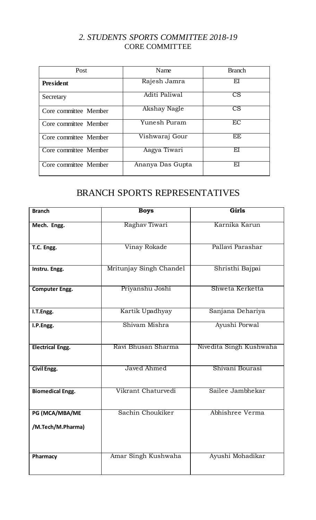#### *2. STUDENTS SPORTS COMMITTEE 2018-19* CORE COMMITTEE

| Post                  | Name             | <b>Branch</b>          |
|-----------------------|------------------|------------------------|
| <b>President</b>      | Rajesh Jamra     | ΕI                     |
| Secretary             | Aditi Paliwal    | $\overline{\text{CS}}$ |
| Core committee Member | Akshay Nagle     | $\overline{\text{CS}}$ |
| Core committee Member | Yunesh Puram     | EC                     |
| Core committee Member | Vishwaraj Gour   | EE                     |
| Core committee Member | Aagya Tiwari     | ΕI                     |
| Core committee Member | Ananya Das Gupta | ΕI                     |

# BRANCH SPORTS REPRESENTATIVES

| <b>Branch</b>                       | <b>Boys</b>             | Girls                   |  |
|-------------------------------------|-------------------------|-------------------------|--|
| Mech. Engg.                         | Raghav Tiwari           | Karnika Karun           |  |
| T.C. Engg.                          | Vinay Rokade            | Pallavi Parashar        |  |
| Instru. Engg.                       | Mritunjay Singh Chandel | Shristhi Bajpai         |  |
| <b>Computer Engg.</b>               | Priyanshu Joshi         | Shweta Kerketta         |  |
| I.T.Engg.                           | Kartik Upadhyay         | Sanjana Dehariya        |  |
| I.P.Engg.                           | Shiyam Mishra           | Ayushi Porwal           |  |
| <b>Electrical Engg.</b>             | Ravi Bhusan Sharma      | Nivedita Singh Kushwaha |  |
| Civil Engg.                         | Javed Ahmed             | Shivani Bourasi         |  |
| <b>Biomedical Engg.</b>             | Vikrant Chaturvedi      | Sailee Jambhekar        |  |
| PG (MCA/MBA/ME<br>/M.Tech/M.Pharma) | Sachin Choukiker        | Abhishree Verma         |  |
| Pharmacy                            | Amar Singh Kushwaha     | Ayushi Mohadikar        |  |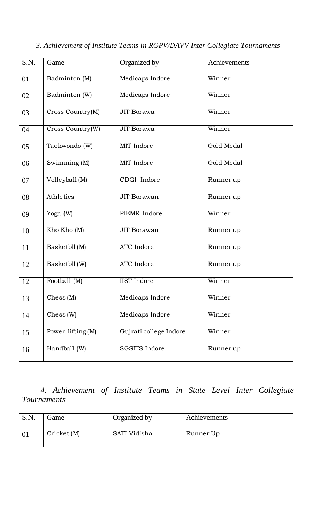| S.N. | Game                                 | Organized by           | Achievements |
|------|--------------------------------------|------------------------|--------------|
| 01   | Badminton (M)                        | Medicaps Indore        | Winner       |
| 02   | Badminton (W)                        | Medicaps Indore        | Winner       |
| 03   | Cross Country(M)                     | <b>JIT Borawa</b>      | Winner       |
| 04   | Cross Country(W)                     | <b>JIT Borawa</b>      | Winner       |
| 05   | Taekwondo (W)                        | MIT Indore             | Gold Medal   |
| 06   | Swimming (M)                         | MIT Indore             | Gold Medal   |
| 07   | Volleyball (M)                       | CDGI Indore            | Runnerup     |
| 08   | Athletics                            | <b>JIT</b> Borawan     | Runnerup     |
| 09   | Yoga (W)                             | PIEMR Indore           | Winner       |
| 10   | Kho Kho (M)                          | <b>JIT Borawan</b>     | Runner up    |
| 11   | Basketbll (M)                        | <b>ATC</b> Indore      | Runnerup     |
| 12   | Basketbll (W)                        | <b>ATC</b> Indore      | Runner up    |
| 12   | Football (M)                         | <b>IIST</b> Indore     | Winner       |
| 13   | $\text{Ches } (\text{M})$            | Medicaps Indore        | Winner       |
| 14   | $\text{Chess}$ (W)                   | Medicaps Indore        | Winner       |
| 15   | $\overline{\text{Power-lifting}}(M)$ | Gujrati college Indore | Winner       |
| 16   | Handball (W)                         | <b>SGSITS</b> Indore   | Runnerup     |

*3. Achievement of Institute Teams in RGPV/DAVV Inter Collegiate Tournaments*

### *4. Achievement of Institute Teams in State Level Inter Collegiate Tournaments*

| S.N. | Game        | Organized by | Achievements |
|------|-------------|--------------|--------------|
|      | Cricket (M) | SATI Vidisha | Runner Up    |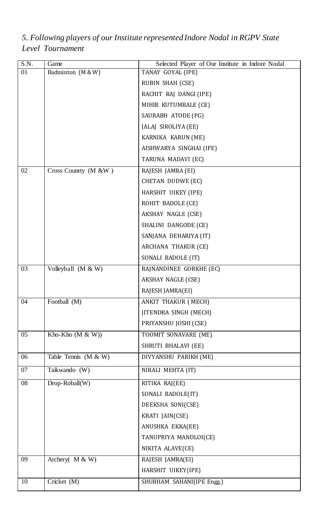| $\overline{S.N.}$<br>01 | Game<br>Badminton (M & W) | Selected Player of Our Institute in Indore Nodal<br>TANAY GOYAL (IPE) |  |
|-------------------------|---------------------------|-----------------------------------------------------------------------|--|
|                         |                           | RUBIN SHAH (CSE)                                                      |  |
|                         |                           | RACHIT RAJ DANGI (IPE)                                                |  |
|                         |                           | MIHIR KUTUMBALE (CE)                                                  |  |
|                         |                           | SAURABH ATODE (PG)                                                    |  |
|                         |                           | JALAJ SIROLIYA (EE)                                                   |  |
|                         |                           | KARNIKA KARUN (ME)                                                    |  |
|                         |                           | AISHWARYA SINGHAI (IPE)                                               |  |
|                         |                           | TARUNA MADAVI (EC)                                                    |  |
| 02                      | Cross County (M &W)       | RAJESH JAMRA (EI)                                                     |  |
|                         |                           | CHETAN DUDWE (EC)                                                     |  |
|                         |                           | HARSHIT UIKEY (IPE)                                                   |  |
|                         |                           | ROHIT BADOLE (CE)                                                     |  |
|                         |                           | AKSHAY NAGLE (CSE)                                                    |  |
|                         |                           | SHALINI DANGODE (CE)                                                  |  |
|                         |                           | SANJANA DEHARIYA (IT)                                                 |  |
|                         |                           | ARCHANA THAKUR (CE)                                                   |  |
|                         |                           | SONALI BADOLE (IT)                                                    |  |
| 03                      | Volleyball (M & W)        | RAJNANDINEE GORKHE (EC)                                               |  |
|                         |                           | <b>AKSHAY NAGLE (CSE)</b>                                             |  |
|                         |                           | RAJESH JAMRA(EI)                                                      |  |
| 04                      | Football (M)              | ANKIT THAKUR (MECH)                                                   |  |
|                         |                           | <b>JITENDRA SINGH (MECH)</b>                                          |  |
|                         |                           | PRIYANSHU JOSHI (CSE)                                                 |  |
| 05                      | Kho-Kho $(M & W)$         | TOOMIT SONAVARE (ME)                                                  |  |
|                         |                           | SHRUTI BHALAVI (EE)                                                   |  |
| 06                      | Table Tennis $(M & W)$    | DIVYANSHU PARIKH (ME)                                                 |  |
| 07                      | Taikwando (W)             | NIRALI MEHTA (IT)                                                     |  |
| 08                      | Drop-Roball(W)            | RITIKA RAJ(EE)                                                        |  |
|                         |                           | SONALI BADOLE(IT)                                                     |  |
|                         |                           | DEEKSHA SONI(CSE)                                                     |  |
|                         |                           | KRATI JAIN(CSE)                                                       |  |
|                         |                           | ANUSHKA EKKA(EE)                                                      |  |
|                         |                           | TANUPRIYA MANDLOI(CE)                                                 |  |
|                         |                           | NIKITA ALAVE(CE)                                                      |  |
| 09                      | Archery( $M & W$ )        | RAJESH JAMRA(EI)                                                      |  |
|                         |                           | HARSHIT UIKEY(IPE)                                                    |  |
| 10                      | Cricket (M)               | SHUBHAM SAHANI(IPE Engg.)                                             |  |

*5. Following players of our Institute represented Indore Nodal in RGPV State Level Tournament*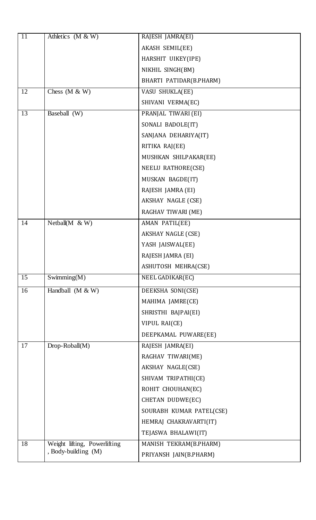| 11 | Athletics $(M & W)$          | RAJESH JAMRA(EI)          |
|----|------------------------------|---------------------------|
|    |                              | AKASH SEMIL(EE)           |
|    |                              | HARSHIT UIKEY(IPE)        |
|    |                              | NIKHIL SINGH(BM)          |
|    |                              | BHARTI PATIDAR(B.PHARM)   |
| 12 | Chess $(M & W)$              | VASU SHUKLA(EE)           |
|    |                              | SHIVANI VERMA(EC)         |
| 13 | Baseball (W)                 | PRANJAL TIWARI (EI)       |
|    |                              | SONALI BADOLE(IT)         |
|    |                              | SANJANA DEHARIYA(IT)      |
|    |                              | RITIKA RAJ(EE)            |
|    |                              | MUSHKAN SHILPAKAR(EE)     |
|    |                              | NEELU RATHORE(CSE)        |
|    |                              | MUSKAN BAGDE(IT)          |
|    |                              | RAJESH JAMRA (EI)         |
|    |                              | AKSHAY NAGLE (CSE)        |
|    |                              | RAGHAV TIWARI (ME)        |
| 14 | Netball( $M \& W$ )          | AMAN PATIL(EE)            |
|    |                              | <b>AKSHAY NAGLE (CSE)</b> |
|    |                              | YASH JAISWAL(EE)          |
|    |                              | RAJESH JAMRA (EI)         |
|    |                              | ASHUTOSH MEHRA(CSE)       |
| 15 | Swimming(M)                  | NEEL GADIKAR(EC)          |
| 16 | Handball $(M & W)$           | DEEKSHA SONI(CSE)         |
|    |                              | MAHIMA JAMRE(CE)          |
|    |                              | SHRISTHI BAJPAI(EI)       |
|    |                              | VIPUL RAI(CE)             |
|    |                              | DEEPKAMAL PUWARE(EE)      |
| 17 | $Drop-Roball(M)$             | RAJESH JAMRA(EI)          |
|    |                              | RAGHAV TIWARI(ME)         |
|    |                              | AKSHAY NAGLE(CSE)         |
|    |                              | SHIVAM TRIPATHI(CE)       |
|    |                              | ROHIT CHOUHAN(EC)         |
|    |                              | CHETAN DUDWE(EC)          |
|    |                              | SOURABH KUMAR PATEL(CSE)  |
|    |                              | HEMRAJ CHAKRAVARTI(IT)    |
|    |                              | TEJASWA BHALAWI(IT)       |
| 18 | Weight lifting, Powerlifting | MANISH TEKRAM(B.PHARM)    |
|    | , Body-building (M)          | PRIYANSH JAIN(B.PHARM)    |